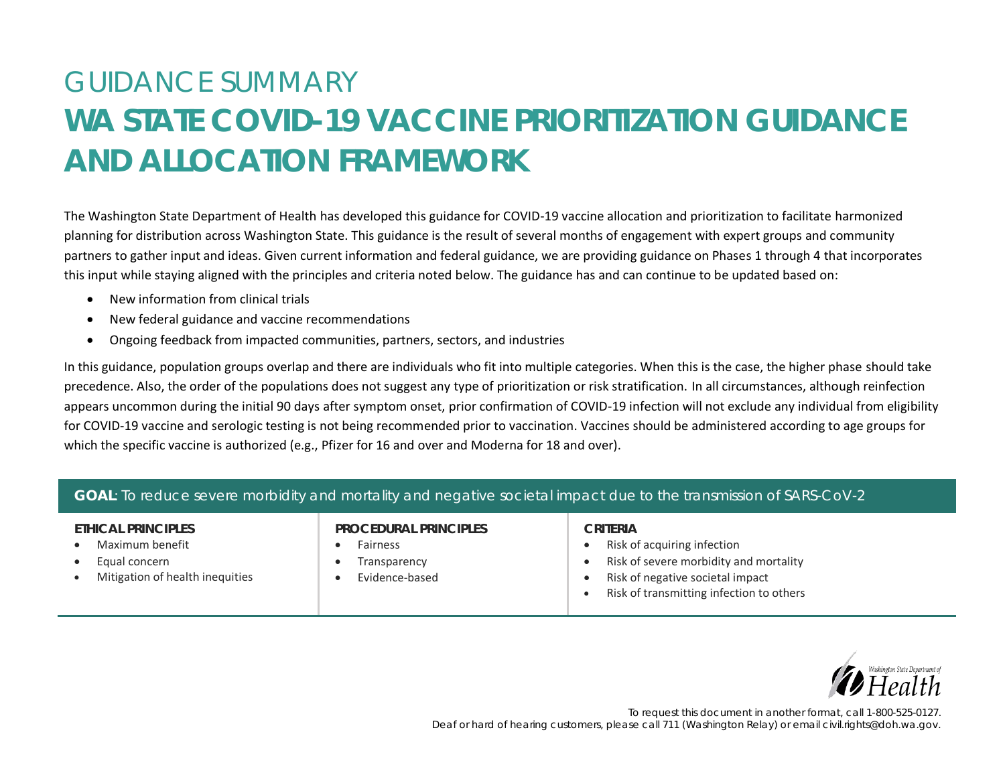# GUIDANCE SUMMARY **WA STATE COVID-19 VACCINE PRIORITIZATION GUIDANCE AND ALLOCATION FRAMEWORK**

The Washington State Department of Health has developed this guidance for COVID-19 vaccine allocation and prioritization to facilitate harmonized planning for distribution across Washington State. This guidance is the result of several months of engagement with expert groups and community partners to gather input and ideas. Given current information and federal guidance, we are providing guidance on Phases 1 through 4 that incorporates this input while staying aligned with the principles and criteria noted below. The guidance has and can continue to be updated based on:

- New information from clinical trials
- New federal guidance and vaccine recommendations
- Ongoing feedback from impacted communities, partners, sectors, and industries

In this guidance, population groups overlap and there are individuals who fit into multiple categories. When this is the case, the higher phase should take precedence. Also, the order of the populations does not suggest any type of prioritization or risk stratification. In all circumstances, although reinfection appears uncommon during the initial 90 days after symptom onset, prior confirmation of COVID-19 infection will not exclude any individual from eligibility for COVID-19 vaccine and serologic testing is not being recommended prior to vaccination. Vaccines should be administered according to age groups for which the specific vaccine is authorized (e.g., Pfizer for 16 and over and Moderna for 18 and over).

| GOAL: To reduce severe morbidity and mortality and negative societal impact due to the transmission of SARS-CoV-2 |                                                                     |                                                                                                                                                                   |
|-------------------------------------------------------------------------------------------------------------------|---------------------------------------------------------------------|-------------------------------------------------------------------------------------------------------------------------------------------------------------------|
| ETHICAL PRINCIPLES<br>Maximum benefit<br>Equal concern<br>Mitigation of health inequities                         | PROCEDURAL PRINCIPLES<br>Fairness<br>Transparency<br>Evidence-based | CRITERIA<br>Risk of acquiring infection<br>Risk of severe morbidity and mortality<br>Risk of negative societal impact<br>Risk of transmitting infection to others |

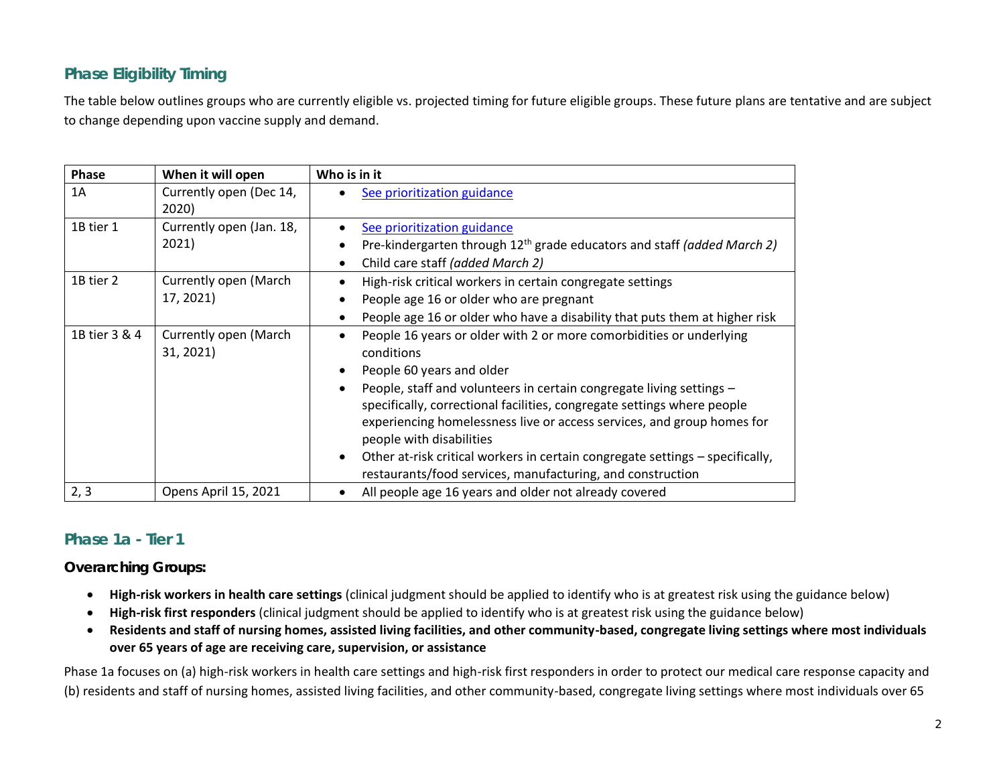# **Phase Eligibility Timing**

The table below outlines groups who are currently eligible vs. projected timing for future eligible groups. These future plans are tentative and are subject to change depending upon vaccine supply and demand.

| <b>Phase</b>  | When it will open                  | Who is in it                                                                                                                                                                                                                                                                                                                                                                                                                                                                                                                                                               |
|---------------|------------------------------------|----------------------------------------------------------------------------------------------------------------------------------------------------------------------------------------------------------------------------------------------------------------------------------------------------------------------------------------------------------------------------------------------------------------------------------------------------------------------------------------------------------------------------------------------------------------------------|
| 1A            | Currently open (Dec 14,<br>2020)   | See prioritization guidance                                                                                                                                                                                                                                                                                                                                                                                                                                                                                                                                                |
| 1B tier 1     | Currently open (Jan. 18,<br>2021)  | See prioritization guidance<br>$\bullet$<br>Pre-kindergarten through $12th$ grade educators and staff (added March 2)<br>$\bullet$<br>Child care staff (added March 2)<br>$\bullet$                                                                                                                                                                                                                                                                                                                                                                                        |
| 1B tier 2     | Currently open (March<br>17, 2021) | High-risk critical workers in certain congregate settings<br>$\bullet$<br>People age 16 or older who are pregnant<br>$\bullet$<br>People age 16 or older who have a disability that puts them at higher risk<br>$\bullet$                                                                                                                                                                                                                                                                                                                                                  |
| 1B tier 3 & 4 | Currently open (March<br>31, 2021) | People 16 years or older with 2 or more comorbidities or underlying<br>$\bullet$<br>conditions<br>People 60 years and older<br>$\bullet$<br>People, staff and volunteers in certain congregate living settings -<br>$\bullet$<br>specifically, correctional facilities, congregate settings where people<br>experiencing homelessness live or access services, and group homes for<br>people with disabilities<br>Other at-risk critical workers in certain congregate settings – specifically,<br>$\bullet$<br>restaurants/food services, manufacturing, and construction |
| 2, 3          | Opens April 15, 2021               | All people age 16 years and older not already covered                                                                                                                                                                                                                                                                                                                                                                                                                                                                                                                      |

## **Phase 1a - Tier 1**

#### *Overarching Groups:*

- **High-risk workers in health care settings** (clinical judgment should be applied to identify who is at greatest risk using the guidance below)
- **High-risk first responders** (clinical judgment should be applied to identify who is at greatest risk using the guidance below)
- **Residents and staff of nursing homes, assisted living facilities, and other community-based, congregate living settings where most individuals over 65 years of age are receiving care, supervision, or assistance**

Phase 1a focuses on (a) high-risk workers in health care settings and high-risk first responders in order to protect our medical care response capacity and (b) residents and staff of nursing homes, assisted living facilities, and other community-based, congregate living settings where most individuals over 65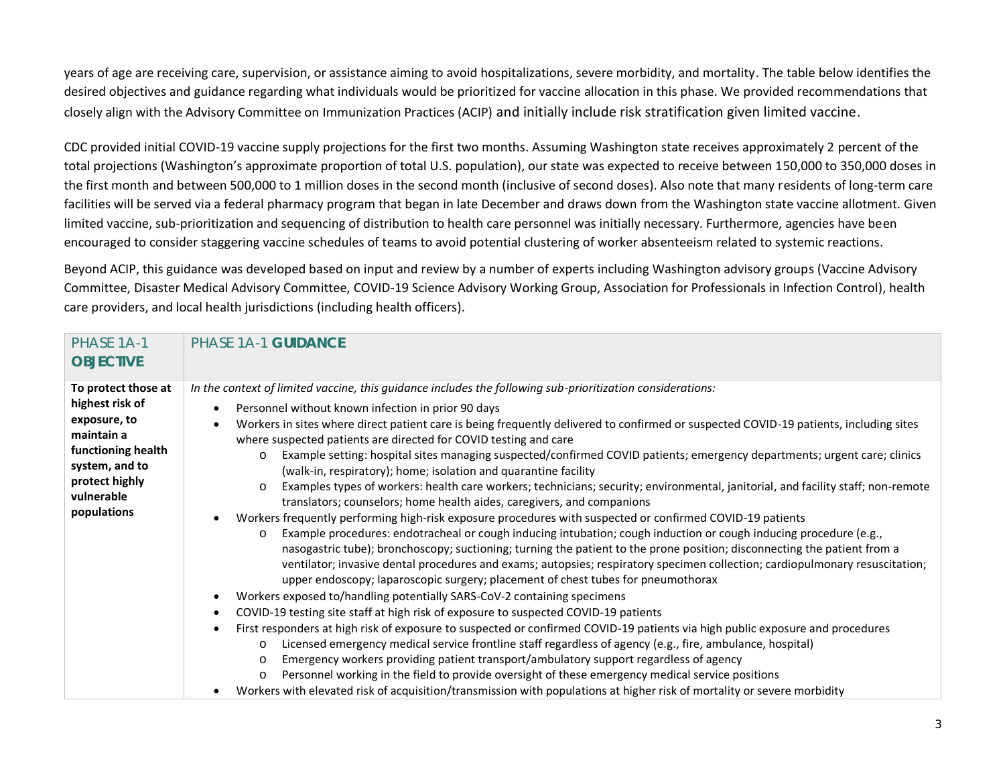years of age are receiving care, supervision, or assistance aiming to avoid hospitalizations, severe morbidity, and mortality. The table below identifies the desired objectives and guidance regarding what individuals would be prioritized for vaccine allocation in this phase. We provided recommendations that closely align with the Advisory Committee on Immunization Practices (ACIP) and initially include risk stratification given limited vaccine.

CDC provided initial COVID-19 vaccine supply projections for the first two months. Assuming Washington state receives approximately 2 percent of the total projections (Washington's approximate proportion of total U.S. population), our state was expected to receive between 150,000 to 350,000 doses in the first month and between 500,000 to 1 million doses in the second month (inclusive of second doses). Also note that many residents of long-term care facilities will be served via a federal pharmacy program that began in late December and draws down from the Washington state vaccine allotment. Given limited vaccine, sub-prioritization and sequencing of distribution to health care personnel was initially necessary. Furthermore, agencies have been encouraged to consider staggering vaccine schedules of teams to avoid potential clustering of worker absenteeism related to systemic reactions.

Beyond ACIP, this guidance was developed based on input and review by a number of experts including Washington advisory groups (Vaccine Advisory Committee, Disaster Medical Advisory Committee, COVID-19 Science Advisory Working Group, Association for Professionals in Infection Control), health care providers, and local health jurisdictions (including health officers).

| PHASE 1A-1<br><b>OBJECTIVE</b>                                                                                                                              | PHASE 1A-1 GUIDANCE                                                                                                                                                                                                                                                                                                                                                                                                                                                                                                                                                                                                                                                                                                                                                                                                                                                                                                                                                                                                                                                                                                                                                                                                                                                                                                                                                                                                                                                                                                                                                                                                                                                                                                                                                                                                                                                                                                                                                                                                                                                                                                                                                                    |
|-------------------------------------------------------------------------------------------------------------------------------------------------------------|----------------------------------------------------------------------------------------------------------------------------------------------------------------------------------------------------------------------------------------------------------------------------------------------------------------------------------------------------------------------------------------------------------------------------------------------------------------------------------------------------------------------------------------------------------------------------------------------------------------------------------------------------------------------------------------------------------------------------------------------------------------------------------------------------------------------------------------------------------------------------------------------------------------------------------------------------------------------------------------------------------------------------------------------------------------------------------------------------------------------------------------------------------------------------------------------------------------------------------------------------------------------------------------------------------------------------------------------------------------------------------------------------------------------------------------------------------------------------------------------------------------------------------------------------------------------------------------------------------------------------------------------------------------------------------------------------------------------------------------------------------------------------------------------------------------------------------------------------------------------------------------------------------------------------------------------------------------------------------------------------------------------------------------------------------------------------------------------------------------------------------------------------------------------------------------|
| To protect those at<br>highest risk of<br>exposure, to<br>maintain a<br>functioning health<br>system, and to<br>protect highly<br>vulnerable<br>populations | In the context of limited vaccine, this quidance includes the following sub-prioritization considerations:<br>Personnel without known infection in prior 90 days<br>Workers in sites where direct patient care is being frequently delivered to confirmed or suspected COVID-19 patients, including sites<br>where suspected patients are directed for COVID testing and care<br>Example setting: hospital sites managing suspected/confirmed COVID patients; emergency departments; urgent care; clinics<br>$\circ$<br>(walk-in, respiratory); home; isolation and quarantine facility<br>Examples types of workers: health care workers; technicians; security; environmental, janitorial, and facility staff; non-remote<br>$\circ$<br>translators; counselors; home health aides, caregivers, and companions<br>Workers frequently performing high-risk exposure procedures with suspected or confirmed COVID-19 patients<br>Example procedures: endotracheal or cough inducing intubation; cough induction or cough inducing procedure (e.g.,<br>$\circ$<br>nasogastric tube); bronchoscopy; suctioning; turning the patient to the prone position; disconnecting the patient from a<br>ventilator; invasive dental procedures and exams; autopsies; respiratory specimen collection; cardiopulmonary resuscitation;<br>upper endoscopy; laparoscopic surgery; placement of chest tubes for pneumothorax<br>Workers exposed to/handling potentially SARS-CoV-2 containing specimens<br>COVID-19 testing site staff at high risk of exposure to suspected COVID-19 patients<br>First responders at high risk of exposure to suspected or confirmed COVID-19 patients via high public exposure and procedures<br>Licensed emergency medical service frontline staff regardless of agency (e.g., fire, ambulance, hospital)<br>$\circ$<br>Emergency workers providing patient transport/ambulatory support regardless of agency<br>$\circ$<br>Personnel working in the field to provide oversight of these emergency medical service positions<br>$\circ$<br>Workers with elevated risk of acquisition/transmission with populations at higher risk of mortality or severe morbidity |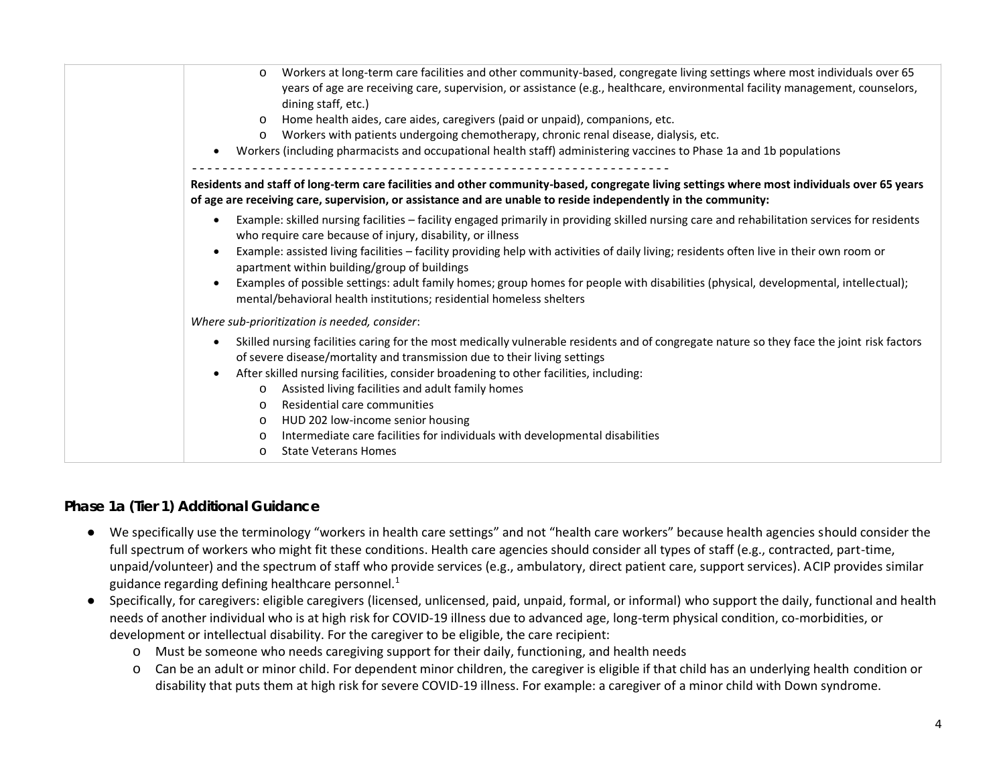| Workers at long-term care facilities and other community-based, congregate living settings where most individuals over 65<br>$\circ$<br>years of age are receiving care, supervision, or assistance (e.g., healthcare, environmental facility management, counselors,<br>dining staff, etc.)<br>Home health aides, care aides, caregivers (paid or unpaid), companions, etc.<br>Workers with patients undergoing chemotherapy, chronic renal disease, dialysis, etc.<br>$\circ$<br>Workers (including pharmacists and occupational health staff) administering vaccines to Phase 1a and 1b populations                 |
|------------------------------------------------------------------------------------------------------------------------------------------------------------------------------------------------------------------------------------------------------------------------------------------------------------------------------------------------------------------------------------------------------------------------------------------------------------------------------------------------------------------------------------------------------------------------------------------------------------------------|
| Residents and staff of long-term care facilities and other community-based, congregate living settings where most individuals over 65 years<br>of age are receiving care, supervision, or assistance and are unable to reside independently in the community:                                                                                                                                                                                                                                                                                                                                                          |
| Example: skilled nursing facilities - facility engaged primarily in providing skilled nursing care and rehabilitation services for residents<br>who require care because of injury, disability, or illness<br>Example: assisted living facilities - facility providing help with activities of daily living; residents often live in their own room or<br>apartment within building/group of buildings<br>Examples of possible settings: adult family homes; group homes for people with disabilities (physical, developmental, intellectual);<br>mental/behavioral health institutions; residential homeless shelters |
| Where sub-prioritization is needed, consider:                                                                                                                                                                                                                                                                                                                                                                                                                                                                                                                                                                          |
| Skilled nursing facilities caring for the most medically vulnerable residents and of congregate nature so they face the joint risk factors<br>of severe disease/mortality and transmission due to their living settings<br>After skilled nursing facilities, consider broadening to other facilities, including:<br>Assisted living facilities and adult family homes<br>$\circ$<br>Residential care communities<br>$\circ$<br>HUD 202 low-income senior housing<br>$\circ$<br>Intermediate care facilities for individuals with developmental disabilities<br>$\circ$<br><b>State Veterans Homes</b><br>$\circ$       |

#### *Phase 1a (Tier 1) Additional Guidance*

- We specifically use the terminology "workers in health care settings" and not "health care workers" because health agencies should consider the full spectrum of workers who might fit these conditions. Health care agencies should consider all types of staff (e.g., contracted, part-time, unpaid/volunteer) and the spectrum of staff who provide services (e.g., ambulatory, direct patient care, support services). ACIP provides similar guidance regarding defining healthcare personnel. $<sup>1</sup>$ </sup>
- Specifically, for caregivers: eligible caregivers (licensed, unlicensed, paid, unpaid, formal, or informal) who support the daily, functional and health needs of another individual who is at high risk for COVID-19 illness due to advanced age, long-term physical condition, co-morbidities, or development or intellectual disability. For the caregiver to be eligible, the care recipient:
	- o Must be someone who needs caregiving support for their daily, functioning, and health needs
	- o Can be an adult or minor child. For dependent minor children, the caregiver is eligible if that child has an underlying health condition or disability that puts them at high risk for severe COVID-19 illness. For example: a caregiver of a minor child with Down syndrome.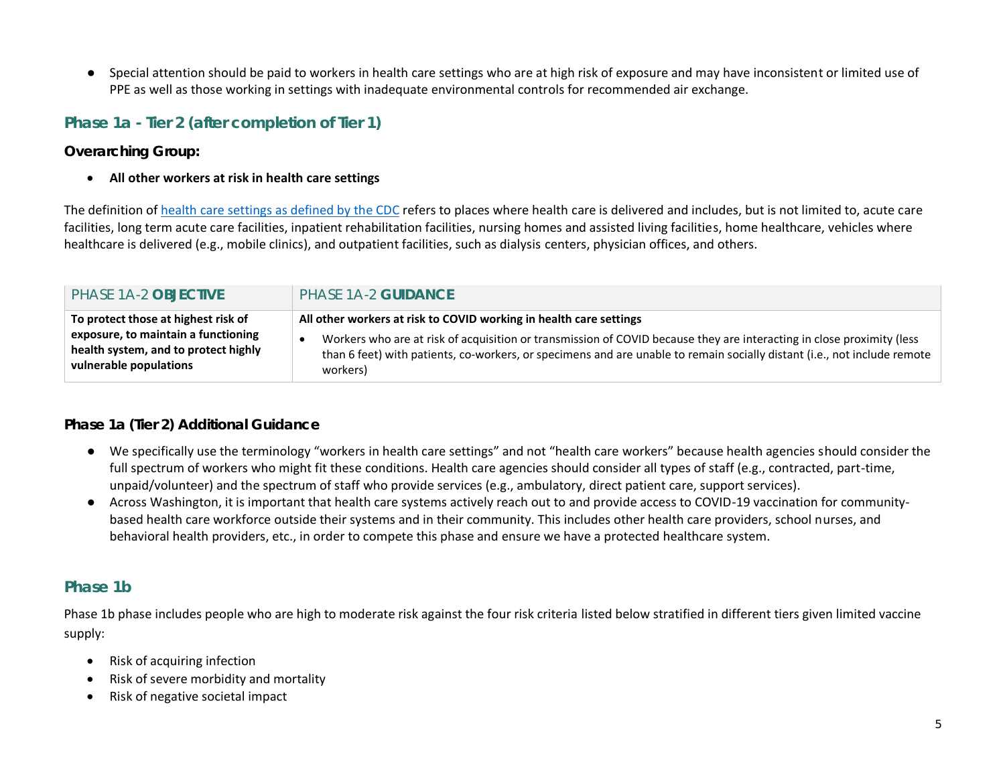● Special attention should be paid to workers in health care settings who are at high risk of exposure and may have inconsistent or limited use of PPE as well as those working in settings with inadequate environmental controls for recommended air exchange.

# **Phase 1a - Tier 2 (after completion of Tier 1)**

*Overarching Group:*

• **All other workers at risk in health care settings**

The definition of health [care settings as defined by](https://www.cdc.gov/infectioncontrol/guidelines/healthcare-personnel/appendix/terminology.html) the CDC refers to places where health care is delivered and includes, but is not limited to, acute care facilities, long term acute care facilities, inpatient rehabilitation facilities, nursing homes and assisted living facilities, home healthcare, vehicles where healthcare is delivered (e.g., mobile clinics), and outpatient facilities, such as dialysis centers, physician offices, and others.

| PHASE 1A-2 OBJECTIVE                 | PHASE 1A-2 GUIDANCE                                                                                                      |
|--------------------------------------|--------------------------------------------------------------------------------------------------------------------------|
| To protect those at highest risk of  | All other workers at risk to COVID working in health care settings                                                       |
| exposure, to maintain a functioning  | Workers who are at risk of acquisition or transmission of COVID because they are interacting in close proximity (less    |
| health system, and to protect highly | than 6 feet) with patients, co-workers, or specimens and are unable to remain socially distant (i.e., not include remote |
| vulnerable populations               | workers)                                                                                                                 |

#### *Phase 1a (Tier 2) Additional Guidance*

- We specifically use the terminology "workers in health care settings" and not "health care workers" because health agencies should consider the full spectrum of workers who might fit these conditions. Health care agencies should consider all types of staff (e.g., contracted, part-time, unpaid/volunteer) and the spectrum of staff who provide services (e.g., ambulatory, direct patient care, support services).
- Across Washington, it is important that health care systems actively reach out to and provide access to COVID-19 vaccination for communitybased health care workforce outside their systems and in their community. This includes other health care providers, school nurses, and behavioral health providers, etc., in order to compete this phase and ensure we have a protected healthcare system.

## **Phase 1b**

Phase 1b phase includes people who are high to moderate risk against the four risk criteria listed below stratified in different tiers given limited vaccine supply:

- Risk of acquiring infection
- Risk of severe morbidity and mortality
- Risk of negative societal impact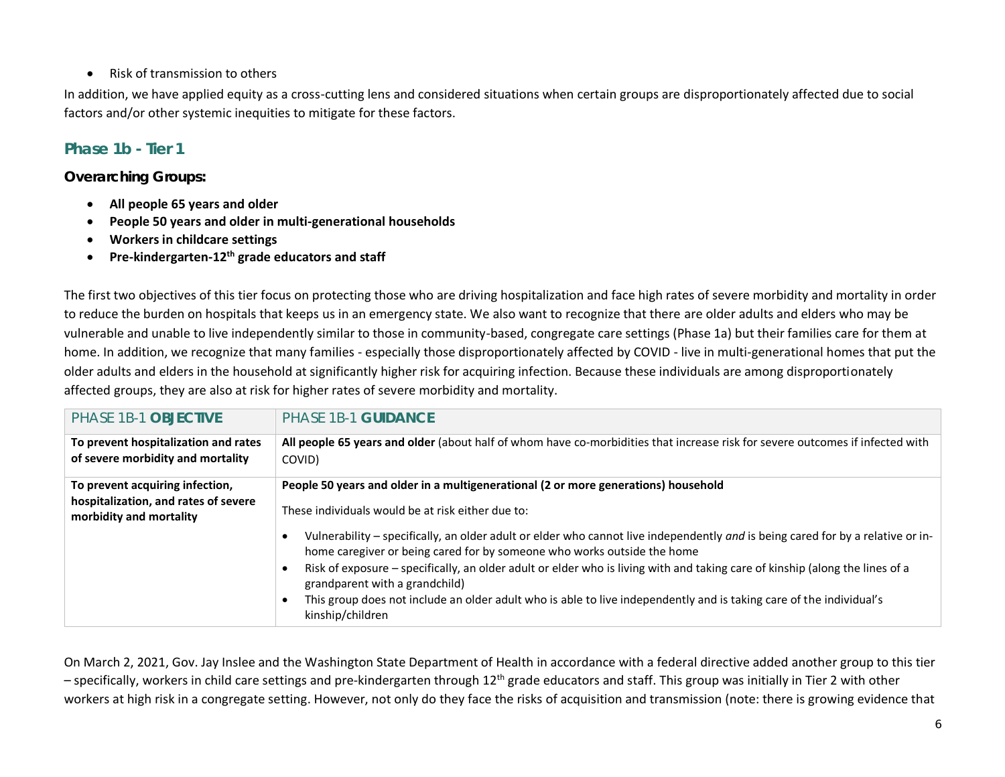• Risk of transmission to others

In addition, we have applied equity as a cross-cutting lens and considered situations when certain groups are disproportionately affected due to social factors and/or other systemic inequities to mitigate for these factors.

# **Phase 1b - Tier 1**

### *Overarching Groups:*

- **All people 65 years and older**
- **People 50 years and older in multi-generational households**
- **Workers in childcare settings**
- **Pre-kindergarten-12th grade educators and staff**

The first two objectives of this tier focus on protecting those who are driving hospitalization and face high rates of severe morbidity and mortality in order to reduce the burden on hospitals that keeps us in an emergency state. We also want to recognize that there are older adults and elders who may be vulnerable and unable to live independently similar to those in community-based, congregate care settings (Phase 1a) but their families care for them at home. In addition, we recognize that many families - especially those disproportionately affected by COVID - live in multi-generational homes that put the older adults and elders in the household at significantly higher risk for acquiring infection. Because these individuals are among disproportionately affected groups, they are also at risk for higher rates of severe morbidity and mortality.

| PHASE 1B-1 OBJECTIVE                                                                               | <b>PHASE 1B-1 GUIDANCE</b>                                                                                                                                                                                                                                                                                                                                                                                                                                                                                              |
|----------------------------------------------------------------------------------------------------|-------------------------------------------------------------------------------------------------------------------------------------------------------------------------------------------------------------------------------------------------------------------------------------------------------------------------------------------------------------------------------------------------------------------------------------------------------------------------------------------------------------------------|
| To prevent hospitalization and rates<br>of severe morbidity and mortality                          | All people 65 years and older (about half of whom have co-morbidities that increase risk for severe outcomes if infected with<br>COVID)                                                                                                                                                                                                                                                                                                                                                                                 |
| To prevent acquiring infection,<br>hospitalization, and rates of severe<br>morbidity and mortality | People 50 years and older in a multigenerational (2 or more generations) household<br>These individuals would be at risk either due to:                                                                                                                                                                                                                                                                                                                                                                                 |
|                                                                                                    | Vulnerability – specifically, an older adult or elder who cannot live independently and is being cared for by a relative or in-<br>home caregiver or being cared for by someone who works outside the home<br>Risk of exposure – specifically, an older adult or elder who is living with and taking care of kinship (along the lines of a<br>grandparent with a grandchild)<br>This group does not include an older adult who is able to live independently and is taking care of the individual's<br>kinship/children |

On March 2, 2021, Gov. Jay Inslee and the Washington State Department of Health in accordance with a federal directive added another group to this tier – specifically, workers in child care settings and pre-kindergarten through 12<sup>th</sup> grade educators and staff. This group was initially in Tier 2 with other workers at high risk in a congregate setting. However, not only do they face the risks of acquisition and transmission (note: there is growing evidence that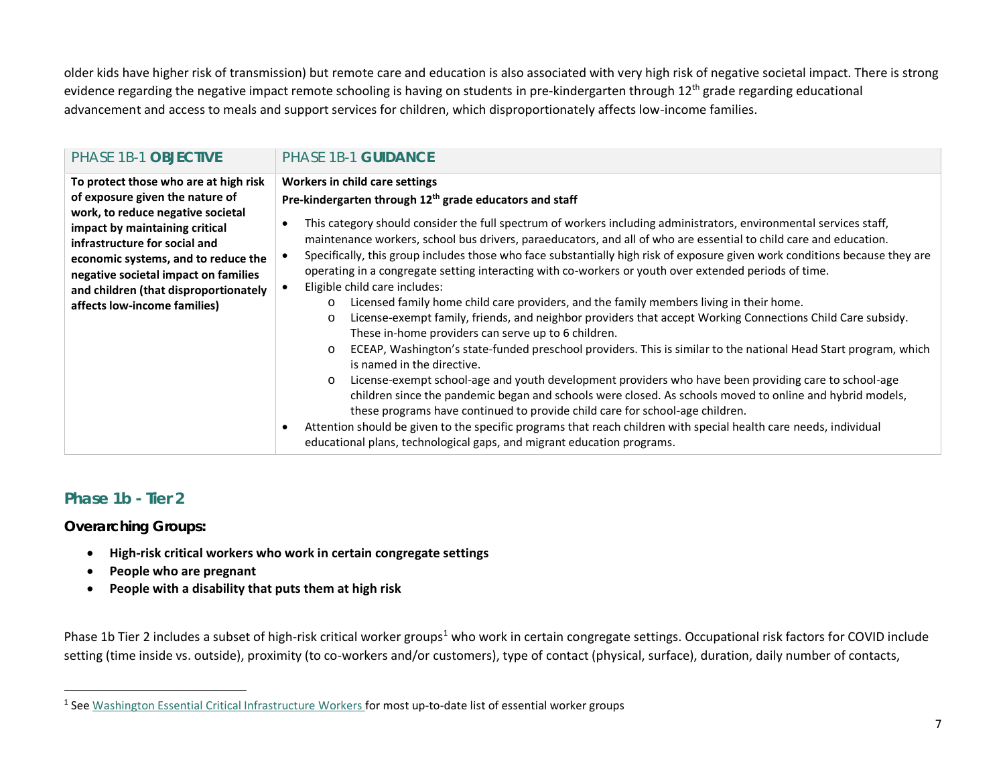older kids have higher risk of transmission) but remote care and education is also associated with very high risk of negative societal impact. There is strong evidence regarding the negative impact remote schooling is having on students in pre-kindergarten through 12<sup>th</sup> grade regarding educational advancement and access to meals and support services for children, which disproportionately affects low-income families.

| <b>PHASE 1B-1 OBJECTIVE</b>                                                                                                                                                                                                                                                                                                              | PHASE 1B-1 GUIDANCE                                                                                                                                                                                                                                                                                                                                                                                                                                                                                                                                                                                                                                                                                                                                                                                                                                                                                                                                                                                                                                                                                                                                                                                                                                                                                                                                                                                                                                                                                                                                                                       |
|------------------------------------------------------------------------------------------------------------------------------------------------------------------------------------------------------------------------------------------------------------------------------------------------------------------------------------------|-------------------------------------------------------------------------------------------------------------------------------------------------------------------------------------------------------------------------------------------------------------------------------------------------------------------------------------------------------------------------------------------------------------------------------------------------------------------------------------------------------------------------------------------------------------------------------------------------------------------------------------------------------------------------------------------------------------------------------------------------------------------------------------------------------------------------------------------------------------------------------------------------------------------------------------------------------------------------------------------------------------------------------------------------------------------------------------------------------------------------------------------------------------------------------------------------------------------------------------------------------------------------------------------------------------------------------------------------------------------------------------------------------------------------------------------------------------------------------------------------------------------------------------------------------------------------------------------|
| To protect those who are at high risk<br>of exposure given the nature of<br>work, to reduce negative societal<br>impact by maintaining critical<br>infrastructure for social and<br>economic systems, and to reduce the<br>negative societal impact on families<br>and children (that disproportionately<br>affects low-income families) | Workers in child care settings<br>Pre-kindergarten through 12 <sup>th</sup> grade educators and staff<br>This category should consider the full spectrum of workers including administrators, environmental services staff,<br>maintenance workers, school bus drivers, paraeducators, and all of who are essential to child care and education.<br>Specifically, this group includes those who face substantially high risk of exposure given work conditions because they are<br>operating in a congregate setting interacting with co-workers or youth over extended periods of time.<br>Eligible child care includes:<br>Licensed family home child care providers, and the family members living in their home.<br>$\circ$<br>License-exempt family, friends, and neighbor providers that accept Working Connections Child Care subsidy.<br>$\circ$<br>These in-home providers can serve up to 6 children.<br>ECEAP, Washington's state-funded preschool providers. This is similar to the national Head Start program, which<br>$\circ$<br>is named in the directive.<br>License-exempt school-age and youth development providers who have been providing care to school-age<br>$\circ$<br>children since the pandemic began and schools were closed. As schools moved to online and hybrid models,<br>these programs have continued to provide child care for school-age children.<br>Attention should be given to the specific programs that reach children with special health care needs, individual<br>educational plans, technological gaps, and migrant education programs. |

# **Phase 1b - Tier 2**

#### *Overarching Groups:*

- **High-risk critical workers who work in certain congregate settings**
- **People who are pregnant**
- **People with a disability that puts them at high risk**

Phase 1b Tier 2 includes a subset of high-risk critical worker groups<sup>1</sup> who work in certain congregate settings. Occupational risk factors for COVID include setting (time inside vs. outside), proximity (to co-workers and/or customers), type of contact (physical, surface), duration, daily number of contacts,

<sup>&</sup>lt;sup>1</sup> See [Washington Essential Critical Infrastructure Workers](https://www.governor.wa.gov/sites/default/files/WA%20Essential%20Critical%20Infrastructure%20Workers%20%28Final%29.pdf) for most up-to-date list of essential worker groups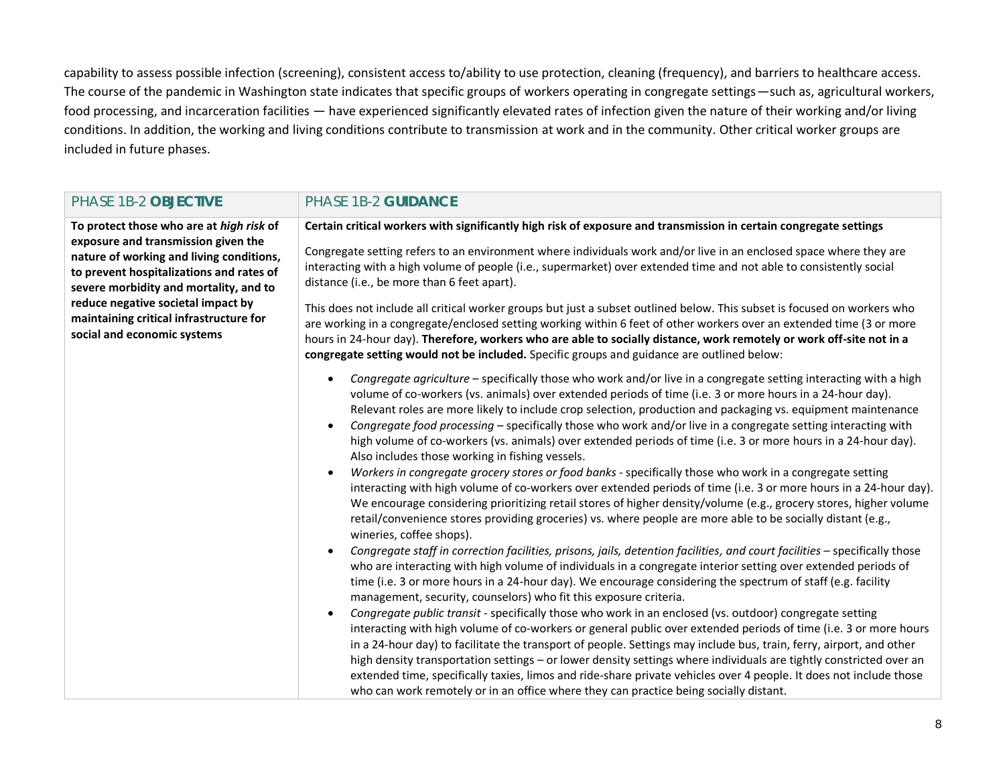capability to assess possible infection (screening), consistent access to/ability to use protection, cleaning (frequency), and barriers to healthcare access. The course of the pandemic in Washington state indicates that specific groups of workers operating in congregate settings—such as, agricultural workers, food processing, and incarceration facilities — have experienced significantly elevated rates of infection given the nature of their working and/or living conditions. In addition, the working and living conditions contribute to transmission at work and in the community. Other critical worker groups are included in future phases.

| PHASE 1B-2 OBJECTIVE                                                                                                                                                                                                                                                                                                              | PHASE 1B-2 GUIDANCE                                                                                                                                                                                                                                                                                                                                                                                                                                                                                                                                                                                                                                                                                                                                                                                                                                                                                                                                                                                                                                                                                                                                                                                                                                                                                                                                                                                                                                                                                                                                                                                                                                                                                                                                                                                                                                                                                                                                                                                                                                                                                                                                                                                                                                                |
|-----------------------------------------------------------------------------------------------------------------------------------------------------------------------------------------------------------------------------------------------------------------------------------------------------------------------------------|--------------------------------------------------------------------------------------------------------------------------------------------------------------------------------------------------------------------------------------------------------------------------------------------------------------------------------------------------------------------------------------------------------------------------------------------------------------------------------------------------------------------------------------------------------------------------------------------------------------------------------------------------------------------------------------------------------------------------------------------------------------------------------------------------------------------------------------------------------------------------------------------------------------------------------------------------------------------------------------------------------------------------------------------------------------------------------------------------------------------------------------------------------------------------------------------------------------------------------------------------------------------------------------------------------------------------------------------------------------------------------------------------------------------------------------------------------------------------------------------------------------------------------------------------------------------------------------------------------------------------------------------------------------------------------------------------------------------------------------------------------------------------------------------------------------------------------------------------------------------------------------------------------------------------------------------------------------------------------------------------------------------------------------------------------------------------------------------------------------------------------------------------------------------------------------------------------------------------------------------------------------------|
| To protect those who are at high risk of<br>exposure and transmission given the<br>nature of working and living conditions,<br>to prevent hospitalizations and rates of<br>severe morbidity and mortality, and to<br>reduce negative societal impact by<br>maintaining critical infrastructure for<br>social and economic systems | Certain critical workers with significantly high risk of exposure and transmission in certain congregate settings<br>Congregate setting refers to an environment where individuals work and/or live in an enclosed space where they are<br>interacting with a high volume of people (i.e., supermarket) over extended time and not able to consistently social<br>distance (i.e., be more than 6 feet apart).<br>This does not include all critical worker groups but just a subset outlined below. This subset is focused on workers who<br>are working in a congregate/enclosed setting working within 6 feet of other workers over an extended time (3 or more<br>hours in 24-hour day). Therefore, workers who are able to socially distance, work remotely or work off-site not in a<br>congregate setting would not be included. Specific groups and guidance are outlined below:                                                                                                                                                                                                                                                                                                                                                                                                                                                                                                                                                                                                                                                                                                                                                                                                                                                                                                                                                                                                                                                                                                                                                                                                                                                                                                                                                                            |
|                                                                                                                                                                                                                                                                                                                                   | Congregate agriculture - specifically those who work and/or live in a congregate setting interacting with a high<br>volume of co-workers (vs. animals) over extended periods of time (i.e. 3 or more hours in a 24-hour day).<br>Relevant roles are more likely to include crop selection, production and packaging vs. equipment maintenance<br>Congregate food processing - specifically those who work and/or live in a congregate setting interacting with<br>high volume of co-workers (vs. animals) over extended periods of time (i.e. 3 or more hours in a 24-hour day).<br>Also includes those working in fishing vessels.<br>Workers in congregate grocery stores or food banks - specifically those who work in a congregate setting<br>interacting with high volume of co-workers over extended periods of time (i.e. 3 or more hours in a 24-hour day).<br>We encourage considering prioritizing retail stores of higher density/volume (e.g., grocery stores, higher volume<br>retail/convenience stores providing groceries) vs. where people are more able to be socially distant (e.g.,<br>wineries, coffee shops).<br>Congregate staff in correction facilities, prisons, jails, detention facilities, and court facilities - specifically those<br>who are interacting with high volume of individuals in a congregate interior setting over extended periods of<br>time (i.e. 3 or more hours in a 24-hour day). We encourage considering the spectrum of staff (e.g. facility<br>management, security, counselors) who fit this exposure criteria.<br>Congregate public transit - specifically those who work in an enclosed (vs. outdoor) congregate setting<br>interacting with high volume of co-workers or general public over extended periods of time (i.e. 3 or more hours<br>in a 24-hour day) to facilitate the transport of people. Settings may include bus, train, ferry, airport, and other<br>high density transportation settings - or lower density settings where individuals are tightly constricted over an<br>extended time, specifically taxies, limos and ride-share private vehicles over 4 people. It does not include those<br>who can work remotely or in an office where they can practice being socially distant. |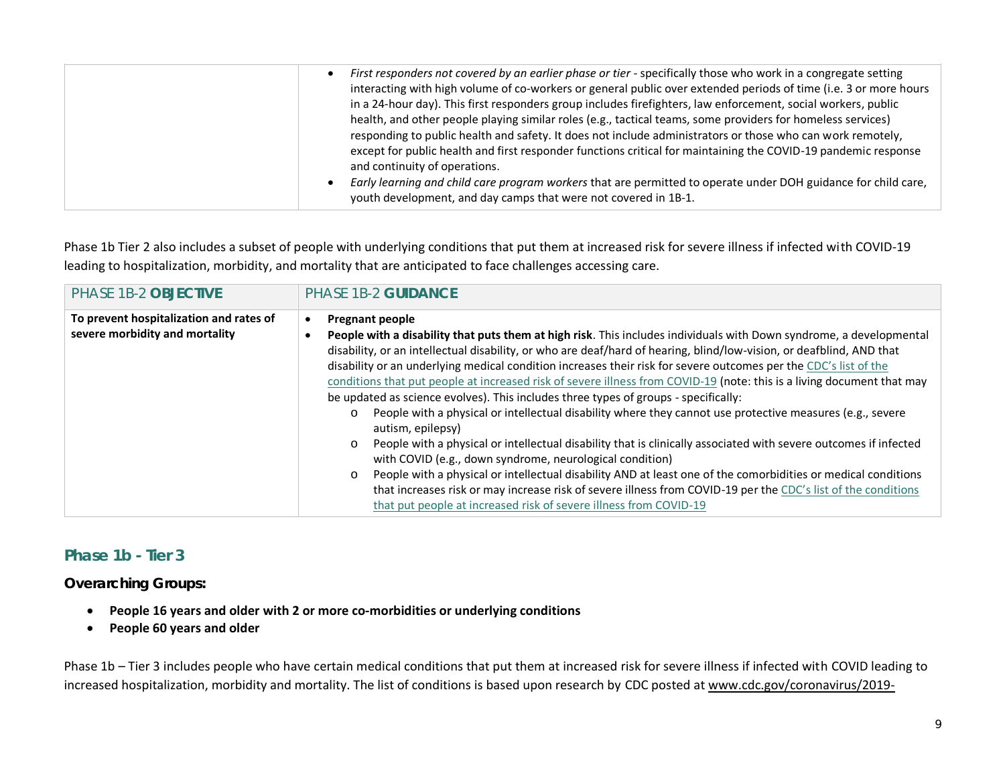Phase 1b Tier 2 also includes a subset of people with underlying conditions that put them at increased risk for severe illness if infected with COVID-19 leading to hospitalization, morbidity, and mortality that are anticipated to face challenges accessing care.

| <b>PHASE 1B-2 OBJECTIVE</b>                                               | <b>PHASE 1B-2 GUIDANCE</b>                                                                                                                                                                                                                                                                                                                                                                                                                                                                                                                                                                                                                                                                                                                                                                                                                                                                                                                                                                                                                                                                                                                                                                                                                                           |
|---------------------------------------------------------------------------|----------------------------------------------------------------------------------------------------------------------------------------------------------------------------------------------------------------------------------------------------------------------------------------------------------------------------------------------------------------------------------------------------------------------------------------------------------------------------------------------------------------------------------------------------------------------------------------------------------------------------------------------------------------------------------------------------------------------------------------------------------------------------------------------------------------------------------------------------------------------------------------------------------------------------------------------------------------------------------------------------------------------------------------------------------------------------------------------------------------------------------------------------------------------------------------------------------------------------------------------------------------------|
| To prevent hospitalization and rates of<br>severe morbidity and mortality | <b>Pregnant people</b><br>People with a disability that puts them at high risk. This includes individuals with Down syndrome, a developmental<br>disability, or an intellectual disability, or who are deaf/hard of hearing, blind/low-vision, or deafblind, AND that<br>disability or an underlying medical condition increases their risk for severe outcomes per the CDC's list of the<br>conditions that put people at increased risk of severe illness from COVID-19 (note: this is a living document that may<br>be updated as science evolves). This includes three types of groups - specifically:<br>People with a physical or intellectual disability where they cannot use protective measures (e.g., severe<br>$\circ$<br>autism, epilepsy)<br>People with a physical or intellectual disability that is clinically associated with severe outcomes if infected<br>$\circ$<br>with COVID (e.g., down syndrome, neurological condition)<br>People with a physical or intellectual disability AND at least one of the comorbidities or medical conditions<br>$\circ$<br>that increases risk or may increase risk of severe illness from COVID-19 per the CDC's list of the conditions<br>that put people at increased risk of severe illness from COVID-19 |

## **Phase 1b - Tier 3**

*Overarching Groups:*

- **People 16 years and older with 2 or more co-morbidities or underlying conditions**
- **People 60 years and older**

Phase 1b – Tier 3 includes people who have certain medical conditions that put them at increased risk for severe illness if infected with COVID leading to increased hospitalization, morbidity and mortality. The list of conditions is based upon research by CDC posted at www.cdc.gov/coronavirus/2019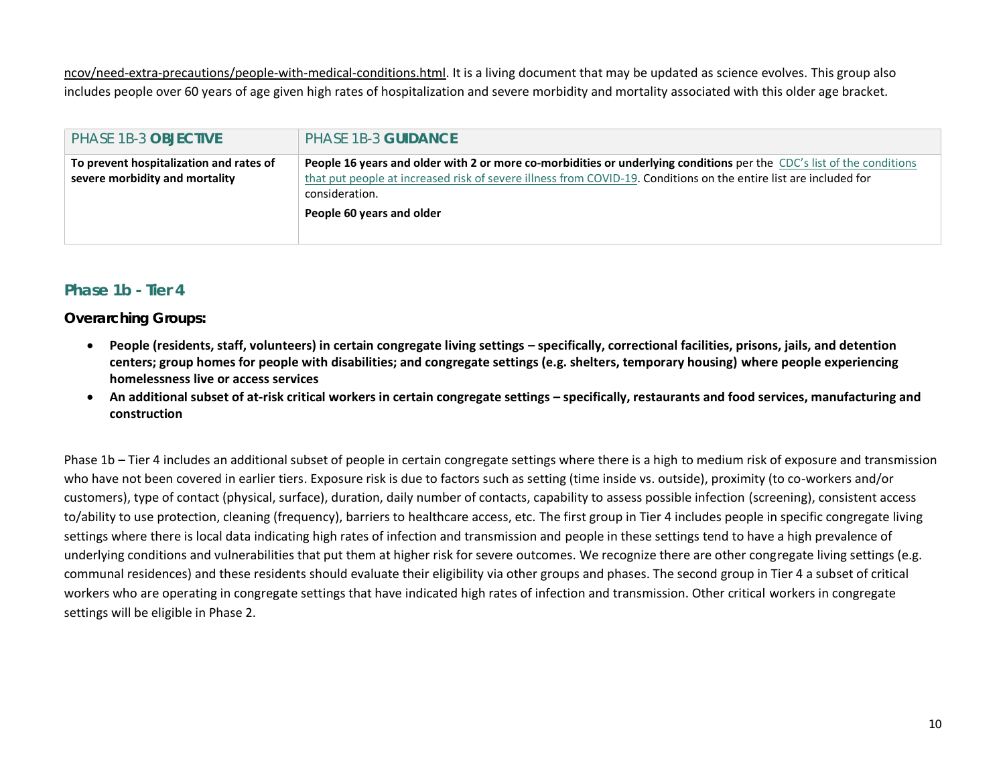ncov/need-extra-precautions/people-with-medical-conditions.html. It is a living document that may be updated as science evolves. This group also includes people over 60 years of age given high rates of hospitalization and severe morbidity and mortality associated with this older age bracket.

| <b>PHASE 1B-3 OBJECTIVE</b>                                               | <b>PHASE 1B-3 GUIDANCE</b>                                                                                                                                                                                                                                   |
|---------------------------------------------------------------------------|--------------------------------------------------------------------------------------------------------------------------------------------------------------------------------------------------------------------------------------------------------------|
| To prevent hospitalization and rates of<br>severe morbidity and mortality | People 16 years and older with 2 or more co-morbidities or underlying conditions per the CDC's list of the conditions<br>that put people at increased risk of severe illness from COVID-19. Conditions on the entire list are included for<br>consideration. |
|                                                                           | People 60 years and older                                                                                                                                                                                                                                    |

## **Phase 1b - Tier 4**

#### *Overarching Groups:*

- People (residents, staff, volunteers) in certain congregate living settings specifically, correctional facilities, prisons, jails, and detention **centers; group homes for people with disabilities; and congregate settings (e.g. shelters, temporary housing) where people experiencing homelessness live or access services**
- An additional subset of at-risk critical workers in certain congregate settings specifically, restaurants and food services, manufacturing and **construction**

Phase 1b – Tier 4 includes an additional subset of people in certain congregate settings where there is a high to medium risk of exposure and transmission who have not been covered in earlier tiers. Exposure risk is due to factors such as setting (time inside vs. outside), proximity (to co-workers and/or customers), type of contact (physical, surface), duration, daily number of contacts, capability to assess possible infection (screening), consistent access to/ability to use protection, cleaning (frequency), barriers to healthcare access, etc. The first group in Tier 4 includes people in specific congregate living settings where there is local data indicating high rates of infection and transmission and people in these settings tend to have a high prevalence of underlying conditions and vulnerabilities that put them at higher risk for severe outcomes. We recognize there are other congregate living settings (e.g. communal residences) and these residents should evaluate their eligibility via other groups and phases. The second group in Tier 4 a subset of critical workers who are operating in congregate settings that have indicated high rates of infection and transmission. Other critical workers in congregate settings will be eligible in Phase 2.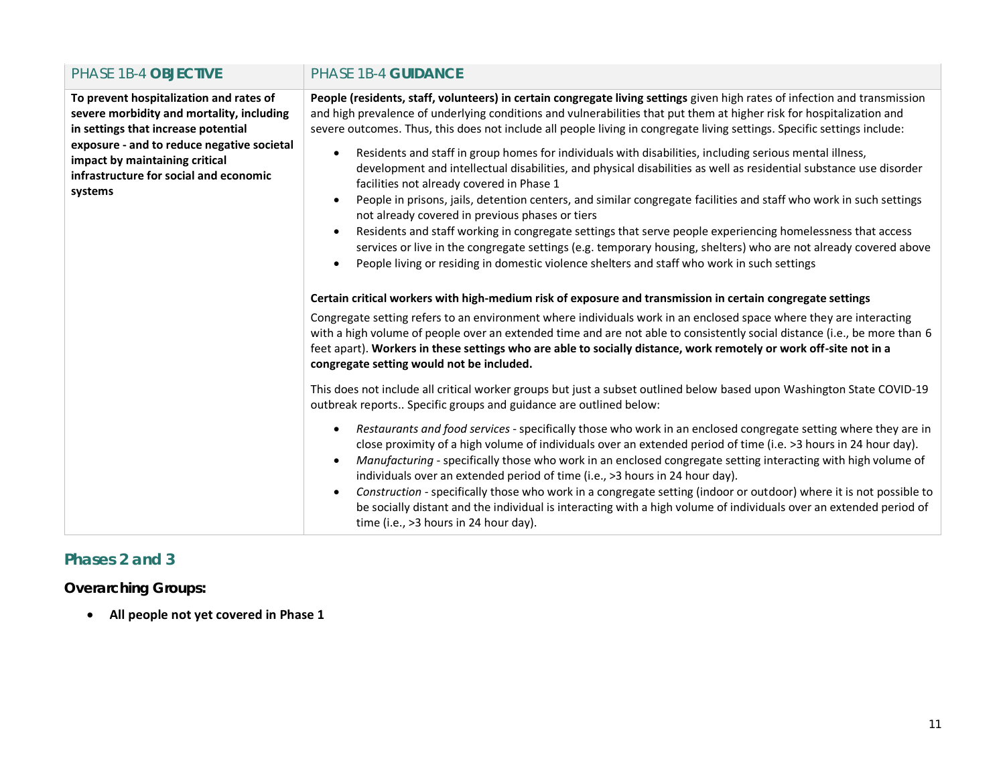| PHASE 1B-4 OBJECTIVE                                                                                                                                                                                                                                             | <b>PHASE 1B-4 GUIDANCE</b>                                                                                                                                                                                                                                                                                                                                                                                                                                                                                                                                                                                                                                                                                                                                                                                                                                                                                                                                                                                                                                                                                                                                                                                                                                                                                                                                                                                                                                                                                                                                                                                                                                                                                                                                                                                                                                                                                                                                                                                                                                                                                                                                                                                                                                                                                                                                                                                                                                                                                                                                                                                                                                                     |
|------------------------------------------------------------------------------------------------------------------------------------------------------------------------------------------------------------------------------------------------------------------|--------------------------------------------------------------------------------------------------------------------------------------------------------------------------------------------------------------------------------------------------------------------------------------------------------------------------------------------------------------------------------------------------------------------------------------------------------------------------------------------------------------------------------------------------------------------------------------------------------------------------------------------------------------------------------------------------------------------------------------------------------------------------------------------------------------------------------------------------------------------------------------------------------------------------------------------------------------------------------------------------------------------------------------------------------------------------------------------------------------------------------------------------------------------------------------------------------------------------------------------------------------------------------------------------------------------------------------------------------------------------------------------------------------------------------------------------------------------------------------------------------------------------------------------------------------------------------------------------------------------------------------------------------------------------------------------------------------------------------------------------------------------------------------------------------------------------------------------------------------------------------------------------------------------------------------------------------------------------------------------------------------------------------------------------------------------------------------------------------------------------------------------------------------------------------------------------------------------------------------------------------------------------------------------------------------------------------------------------------------------------------------------------------------------------------------------------------------------------------------------------------------------------------------------------------------------------------------------------------------------------------------------------------------------------------|
| To prevent hospitalization and rates of<br>severe morbidity and mortality, including<br>in settings that increase potential<br>exposure - and to reduce negative societal<br>impact by maintaining critical<br>infrastructure for social and economic<br>systems | People (residents, staff, volunteers) in certain congregate living settings given high rates of infection and transmission<br>and high prevalence of underlying conditions and vulnerabilities that put them at higher risk for hospitalization and<br>severe outcomes. Thus, this does not include all people living in congregate living settings. Specific settings include:<br>Residents and staff in group homes for individuals with disabilities, including serious mental illness,<br>$\bullet$<br>development and intellectual disabilities, and physical disabilities as well as residential substance use disorder<br>facilities not already covered in Phase 1<br>People in prisons, jails, detention centers, and similar congregate facilities and staff who work in such settings<br>not already covered in previous phases or tiers<br>Residents and staff working in congregate settings that serve people experiencing homelessness that access<br>services or live in the congregate settings (e.g. temporary housing, shelters) who are not already covered above<br>People living or residing in domestic violence shelters and staff who work in such settings<br>Certain critical workers with high-medium risk of exposure and transmission in certain congregate settings<br>Congregate setting refers to an environment where individuals work in an enclosed space where they are interacting<br>with a high volume of people over an extended time and are not able to consistently social distance (i.e., be more than 6<br>feet apart). Workers in these settings who are able to socially distance, work remotely or work off-site not in a<br>congregate setting would not be included.<br>This does not include all critical worker groups but just a subset outlined below based upon Washington State COVID-19<br>outbreak reports Specific groups and guidance are outlined below:<br>Restaurants and food services - specifically those who work in an enclosed congregate setting where they are in<br>$\bullet$<br>close proximity of a high volume of individuals over an extended period of time (i.e. >3 hours in 24 hour day).<br>Manufacturing - specifically those who work in an enclosed congregate setting interacting with high volume of<br>$\bullet$<br>individuals over an extended period of time (i.e., >3 hours in 24 hour day).<br>Construction - specifically those who work in a congregate setting (indoor or outdoor) where it is not possible to<br>be socially distant and the individual is interacting with a high volume of individuals over an extended period of<br>time (i.e., $>3$ hours in 24 hour day). |

# **Phases 2 and 3**

*Overarching Groups:*

• **All people not yet covered in Phase 1**